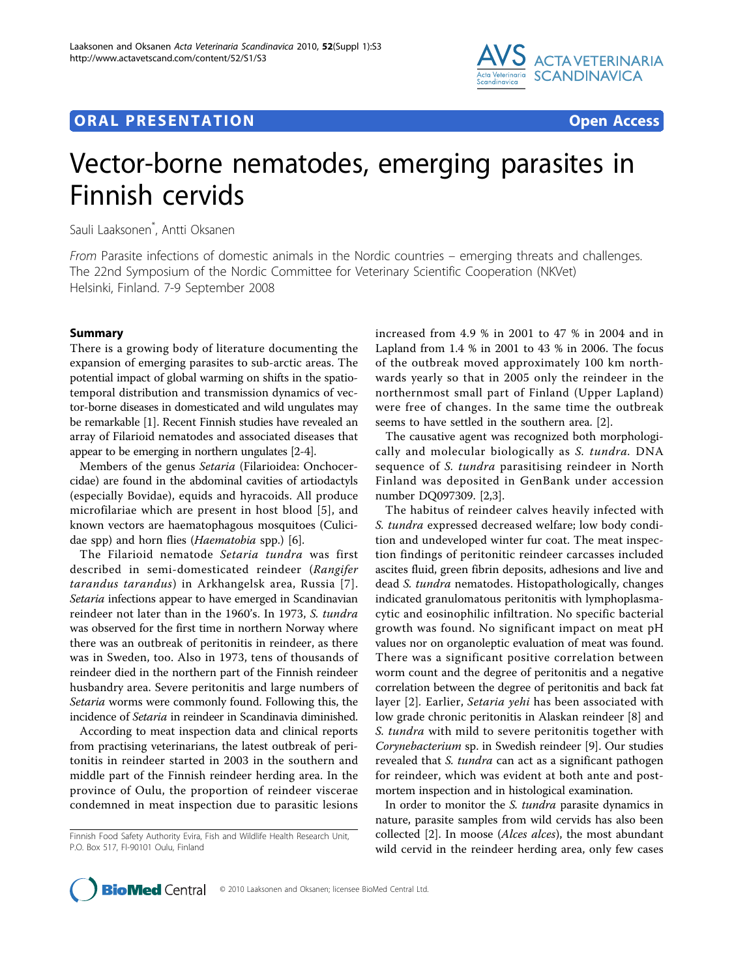

## **ORAL PRESENTATION OPEN ACCESS**



# Vector-borne nematodes, emerging parasites in Finnish cervids

Sauli Laaksonen\* , Antti Oksanen

From Parasite infections of domestic animals in the Nordic countries – emerging threats and challenges. The 22nd Symposium of the Nordic Committee for Veterinary Scientific Cooperation (NKVet) Helsinki, Finland. 7-9 September 2008

### Summary

There is a growing body of literature documenting the expansion of emerging parasites to sub-arctic areas. The potential impact of global warming on shifts in the spatiotemporal distribution and transmission dynamics of vector-borne diseases in domesticated and wild ungulates may be remarkable [\[1](#page-1-0)]. Recent Finnish studies have revealed an array of Filarioid nematodes and associated diseases that appear to be emerging in northern ungulates [\[2-4\]](#page-1-0).

Members of the genus Setaria (Filarioidea: Onchocercidae) are found in the abdominal cavities of artiodactyls (especially Bovidae), equids and hyracoids. All produce microfilariae which are present in host blood [[5\]](#page-1-0), and known vectors are haematophagous mosquitoes (Culicidae spp) and horn flies (Haematobia spp.) [\[6\]](#page-1-0).

The Filarioid nematode Setaria tundra was first described in semi-domesticated reindeer (Rangifer tarandus tarandus) in Arkhangelsk area, Russia [[7\]](#page-1-0). Setaria infections appear to have emerged in Scandinavian reindeer not later than in the 1960's. In 1973, S. tundra was observed for the first time in northern Norway where there was an outbreak of peritonitis in reindeer, as there was in Sweden, too. Also in 1973, tens of thousands of reindeer died in the northern part of the Finnish reindeer husbandry area. Severe peritonitis and large numbers of Setaria worms were commonly found. Following this, the incidence of Setaria in reindeer in Scandinavia diminished.

According to meat inspection data and clinical reports from practising veterinarians, the latest outbreak of peritonitis in reindeer started in 2003 in the southern and middle part of the Finnish reindeer herding area. In the province of Oulu, the proportion of reindeer viscerae condemned in meat inspection due to parasitic lesions increased from 4.9 % in 2001 to 47 % in 2004 and in Lapland from 1.4 % in 2001 to 43 % in 2006. The focus of the outbreak moved approximately 100 km northwards yearly so that in 2005 only the reindeer in the northernmost small part of Finland (Upper Lapland) were free of changes. In the same time the outbreak seems to have settled in the southern area. [\[2](#page-1-0)].

The causative agent was recognized both morphologically and molecular biologically as S. tundra. DNA sequence of *S. tundra* parasitising reindeer in North Finland was deposited in GenBank under accession number DQ097309. [\[2](#page-1-0),[3](#page-1-0)].

The habitus of reindeer calves heavily infected with S. tundra expressed decreased welfare; low body condition and undeveloped winter fur coat. The meat inspection findings of peritonitic reindeer carcasses included ascites fluid, green fibrin deposits, adhesions and live and dead S. tundra nematodes. Histopathologically, changes indicated granulomatous peritonitis with lymphoplasmacytic and eosinophilic infiltration. No specific bacterial growth was found. No significant impact on meat pH values nor on organoleptic evaluation of meat was found. There was a significant positive correlation between worm count and the degree of peritonitis and a negative correlation between the degree of peritonitis and back fat layer [[2\]](#page-1-0). Earlier, Setaria yehi has been associated with low grade chronic peritonitis in Alaskan reindeer [[8](#page-1-0)] and S. tundra with mild to severe peritonitis together with Corynebacterium sp. in Swedish reindeer [[9\]](#page-1-0). Our studies revealed that S. tundra can act as a significant pathogen for reindeer, which was evident at both ante and postmortem inspection and in histological examination.

In order to monitor the *S. tundra* parasite dynamics in nature, parasite samples from wild cervids has also been collected [[2\]](#page-1-0). In moose (*Alces alces*), the most abundant wild cervid in the reindeer herding area, only few cases



Finnish Food Safety Authority Evira, Fish and Wildlife Health Research Unit, P.O. Box 517, FI-90101 Oulu, Finland